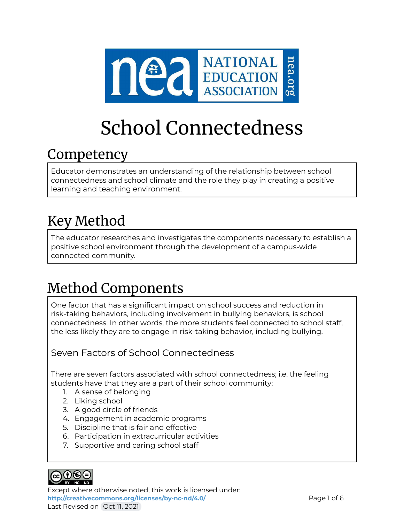

# School Connectedness

# Competency

Educator demonstrates an understanding of the relationship between school connectedness and school climate and the role they play in creating a positive learning and teaching environment.

# Key Method

The educator researches and investigates the components necessary to establish a positive school environment through the development of a campus-wide connected community.

# Method Components

One factor that has a significant impact on school success and reduction in risk-taking behaviors, including involvement in bullying behaviors, is school connectedness. In other words, the more students feel connected to school staff, the less likely they are to engage in risk-taking behavior, including bullying.

### Seven Factors of School Connectedness

There are seven factors associated with school connectedness; i.e. the feeling students have that they are a part of their school community:

- 1. A sense of belonging
- 2. Liking school
- 3. A good circle of friends
- 4. Engagement in academic programs
- 5. Discipline that is fair and effective
- 6. Participation in extracurricular activities
- 7. Supportive and caring school staff



Except where otherwise noted, this work is licensed under: <http://creativecommons.org/licenses/by-nc-nd/4.0/> **Page 1 of 6** Last Revised on Oct 11, 2021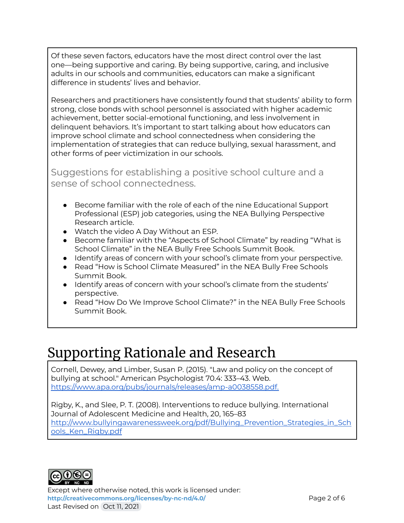Of these seven factors, educators have the most direct control over the last one—being supportive and caring. By being supportive, caring, and inclusive adults in our schools and communities, educators can make a significant difference in students' lives and behavior.

Researchers and practitioners have consistently found that students' ability to form strong, close bonds with school personnel is associated with higher academic achievement, better social-emotional functioning, and less involvement in delinquent behaviors. It's important to start talking about how educators can improve school climate and school connectedness when considering the implementation of strategies that can reduce bullying, sexual harassment, and other forms of peer victimization in our schools.

Suggestions for establishing a positive school culture and a sense of school connectedness.

- Become familiar with the role of each of the nine Educational Support Professional (ESP) job categories, using the NEA Bullying Perspective Research article.
- Watch the video A Day Without an ESP.
- Become familiar with the "Aspects of School Climate" by reading "What is School Climate" in the NEA Bully Free Schools Summit Book.
- Identify areas of concern with your school's climate from your perspective.
- Read "How is School Climate Measured" in the NEA Bully Free Schools Summit Book.
- Identify areas of concern with your school's climate from the students' perspective.
- Read "How Do We Improve School Climate?" in the NEA Bully Free Schools Summit Book.

# Supporting Rationale and Research

Cornell, Dewey, and Limber, Susan P. (2015). "Law and policy on the concept of bullying at school." American Psychologist 70.4: 333–43. Web. <https://www.apa.org/pubs/journals/releases/amp-a0038558.pdf.>

Rigby, K., and Slee, P. T. (2008). Interventions to reduce bullying. International Journal of Adolescent Medicine and Health, 20, 165–83 [http://www.bullyingawarenessweek.org/pdf/Bullying\\_Prevention\\_Strategies\\_in\\_Sch](http://www.bullyingawarenessweek.org/pdf/Bullying_Prevention_Strategies_in_Schools_Ken_Rigby.pdf) [ools\\_Ken\\_Rigby.pdf](http://www.bullyingawarenessweek.org/pdf/Bullying_Prevention_Strategies_in_Schools_Ken_Rigby.pdf)



Except where otherwise noted, this work is licensed under: <http://creativecommons.org/licenses/by-nc-nd/4.0/><br>
Page 2 of 6 Last Revised on Oct 11, 2021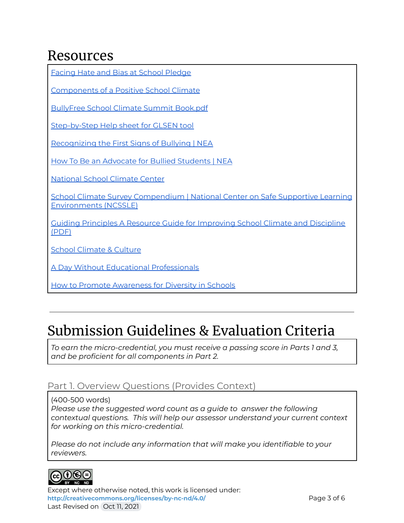# Resources

| <b>Facing Hate and Bias at School Pledge</b>                                                                   |
|----------------------------------------------------------------------------------------------------------------|
| <b>Components of a Positive School Climate</b>                                                                 |
| <b>BullyFree School Climate Summit Book.pdf</b>                                                                |
| Step-by-Step Help sheet for GLSEN tool                                                                         |
| Recognizing the First Signs of Bullying   NEA                                                                  |
| How To Be an Advocate for Bullied Students   NEA                                                               |
| <b>National School Climate Center</b>                                                                          |
| School Climate Survey Compendium   National Center on Safe Supportive Learning<br><b>Environments (NCSSLE)</b> |
| <b>Guiding Principles A Resource Guide for Improving School Climate and Discipline</b><br>(PDF)                |
| <b>School Climate &amp; Culture</b>                                                                            |
| <b>A Day Without Educational Professionals</b>                                                                 |
| <b>How to Promote Awareness for Diversity in Schools</b>                                                       |

# Submission Guidelines & Evaluation Criteria

*To earn the micro-credential, you must receive a passing score in Parts 1 and 3, and be proficient for all components in Part 2.*

### Part 1. Overview Questions (Provides Context)

(400-500 words)

*Please use the suggested word count as a guide to answer the following contextual questions. This will help our assessor understand your current context for working on this micro-credential.*

*Please do not include any information that will make you identifiable to your reviewers.*



Except where otherwise noted, this work is licensed under: <http://creativecommons.org/licenses/by-nc-nd/4.0/><br>
Page 3 of 6 Last Revised on Oct 11, 2021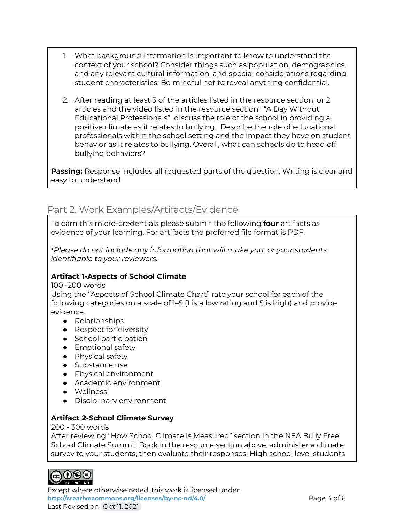- 1. What background information is important to know to understand the context of your school? Consider things such as population, demographics, and any relevant cultural information, and special considerations regarding student characteristics. Be mindful not to reveal anything confidential.
- 2. After reading at least 3 of the articles listed in the resource section, or 2 articles and the video listed in the resource section: "A Day Without Educational Professionals" discuss the role of the school in providing a positive climate as it relates to bullying. Describe the role of educational professionals within the school setting and the impact they have on student behavior as it relates to bullying. Overall, what can schools do to head off bullying behaviors?

**Passing:** Response includes all requested parts of the question. Writing is clear and easy to understand

### Part 2. Work Examples/Artifacts/Evidence

To earn this micro-credentials please submit the following **four** artifacts as evidence of your learning. For artifacts the preferred file format is PDF.

*\*Please do not include any information that will make you or your students identifiable to your reviewers.*

#### **Artifact 1-Aspects of School Climate**

100 -200 words

Using the "Aspects of School Climate Chart" rate your school for each of the following categories on a scale of 1–5 (1 is a low rating and 5 is high) and provide evidence.

- Relationships
- Respect for diversity
- School participation
- Emotional safety
- Physical safety
- Substance use
- Physical environment
- Academic environment
- Wellness
- Disciplinary environment

#### **Artifact 2-School Climate Survey**

200 - 300 words

After reviewing "How School Climate is Measured" section in the NEA Bully Free School Climate Summit Book in the resource section above, administer a climate survey to your students, then evaluate their responses. High school level students



Except where otherwise noted, this work is licensed under: <http://creativecommons.org/licenses/by-nc-nd/4.0/><br>
Page 4 of 6 Last Revised on Oct 11, 2021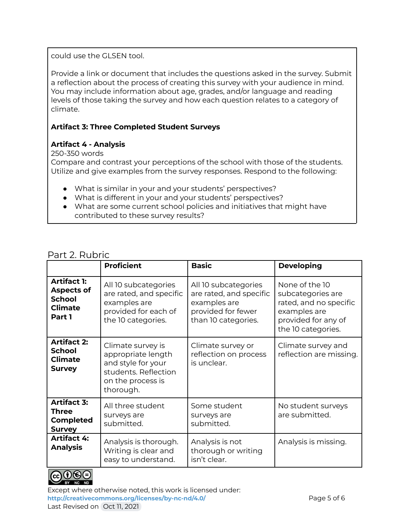could use the GLSEN tool.

Provide a link or document that includes the questions asked in the survey. Submit a reflection about the process of creating this survey with your audience in mind. You may include information about age, grades, and/or language and reading levels of those taking the survey and how each question relates to a category of climate.

### **Artifact 3: Three Completed Student Surveys**

#### **Artifact 4 - Analysis**

250-350 words

Compare and contrast your perceptions of the school with those of the students. Utilize and give examples from the survey responses. Respond to the following:

- What is similar in your and your students' perspectives?
- What is different in your and your students' perspectives?
- What are some current school policies and initiatives that might have contributed to these survey results?

### Part 2. Rubric

|                                                                                      | <b>Proficient</b>                                                                                                       | <b>Basic</b>                                                                                                 | <b>Developing</b>                                                                                                          |
|--------------------------------------------------------------------------------------|-------------------------------------------------------------------------------------------------------------------------|--------------------------------------------------------------------------------------------------------------|----------------------------------------------------------------------------------------------------------------------------|
| <b>Artifact 1:</b><br><b>Aspects of</b><br><b>School</b><br><b>Climate</b><br>Part 1 | All 10 subcategories<br>are rated, and specific<br>examples are<br>provided for each of<br>the 10 categories.           | All 10 subcategories<br>are rated, and specific<br>examples are<br>provided for fewer<br>than 10 categories. | None of the 10<br>subcategories are<br>rated, and no specific<br>examples are<br>provided for any of<br>the 10 categories. |
| <b>Artifact 2:</b><br><b>School</b><br><b>Climate</b><br><b>Survey</b>               | Climate survey is<br>appropriate length<br>and style for your<br>students. Reflection<br>on the process is<br>thorough. | Climate survey or<br>reflection on process<br>is unclear.                                                    | Climate survey and<br>reflection are missing.                                                                              |
| <b>Artifact 3:</b><br><b>Three</b><br><b>Completed</b><br><b>Survey</b>              | All three student<br>surveys are<br>submitted.                                                                          | Some student<br>surveys are<br>submitted.                                                                    | No student surveys<br>are submitted.                                                                                       |
| <b>Artifact 4:</b><br><b>Analysis</b>                                                | Analysis is thorough.<br>Writing is clear and<br>easy to understand.                                                    | Analysis is not<br>thorough or writing<br>isn't clear.                                                       | Analysis is missing.                                                                                                       |



Except where otherwise noted, this work is licensed under: <http://creativecommons.org/licenses/by-nc-nd/4.0/><br>
Page 5 of 6 Last Revised on Oct 11, 2021